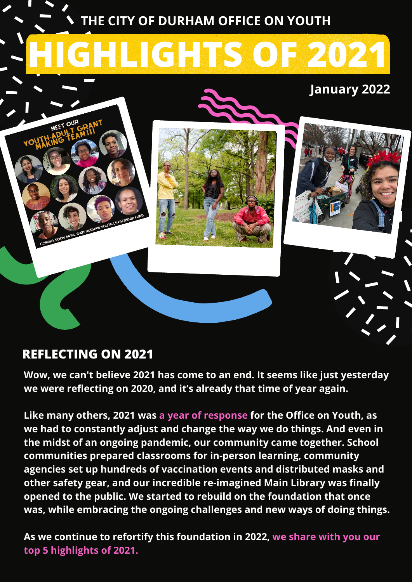

## **REFLECTING ON 2021**

**Wow, we can't believe 2021 has come to an end. It seems like just yesterday we were reflecting on 2020, and it's already that time of year again.**

**Like many others, 2021 was a year of response for the Office on Youth, as we had to constantly adjust and change the way we do things. And even in the midst of an ongoing pandemic, our community came together. School communities prepared classrooms for in-person learning, community agencies set up hundreds of vaccination events and distributed masks and other safety gear, and our incredible re-imagined Main Library was finally opened to the public. We started to rebuild on the foundation that once was, while embracing the ongoing challenges and new ways of doing things.**

**As we continue to refortify this foundation in 2022, we share with you our top 5 highlights of 2021.**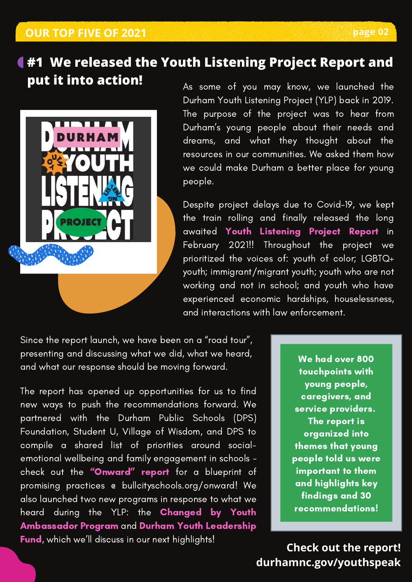# **#1 We released the Youth Listening Project Report and put it into action!** As some of you may know, we launched the



Durham Youth Listening Project (YLP) back in 2019. The purpose of the project was to hear from Durham's young people about their needs and dreams, and what they thought about the resources in our communities. We asked them how we could make Durham a better place for young people.

Despite project delays due to Covid-19, we kept the train rolling and finally released the long awaited Youth Listening Project Report in February 2021!! Throughout the project we prioritized the voices of: youth of color; LGBTQ+ youth; immigrant/migrant youth; youth who are not working and not in school; and youth who have experienced economic hardships, houselessness, and interactions with law enforcement.

Since the report launch, we have been on a "road tour", presenting and discussing what we did, what we heard, and what our response should be moving forward.

The report has opened up opportunities for us to find new ways to push the recommendations forward. We partnered with the Durham Public Schools (DPS) Foundation, Student U, Village of Wisdom, and DPS to compile a shared list of priorities around socialemotional wellbeing and family engagement in schools check out the "[Onward" report](https://www.bullcityschools.org/onward) for a blueprint of promising practices @ bullcityschools.org/onward! We also launched two new programs in response to what we heard during the YLP: the Changed by Youth Ambassador Program and Durham Youth Leadership Fund, which we'll discuss in our next highlights!

We had over 800 touchpoints with young people, caregivers, and service providers. The report is organized into themes that young people told us were important to them and highlights key findings and 30 recommendations!

**[durhamnc.gov/youthspeak](https://durhamnc.gov/4423/Durham-Youth-Listening-Project) Check out the report!**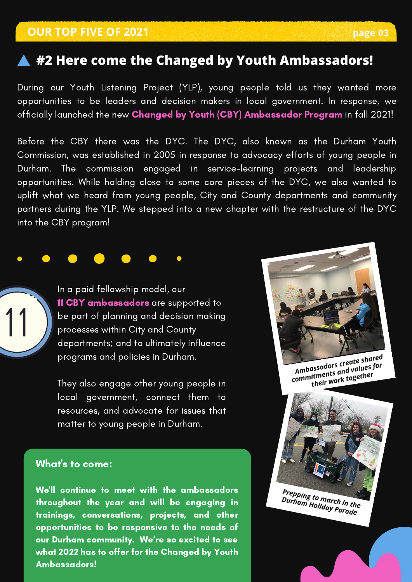## **#2 Here come the Changed by Youth Ambassadors!**

During our Youth Listening Project (YLP), young people told us they wanted more opportunities to be leaders and decision makers in local government. In response, we officially launched the new Changed by Youth (CBY) Ambassador Program in fall 2021!

Before the CBY there was the DYC. The DYC, also known as the Durham Youth Commission, was established in 2005 in response to advocacy efforts of young people in Durham. The commission engaged in service-learning projects and leadership opportunities. While holding close to some core pieces of the DYC, we also wanted to uplift what we heard from young people, City and County departments and community partners during the YLP. We stepped into a new chapter with the restructure of the DYC into the CBY program!



In a paid fellowship model, our 11 CBY ambassadors are supported to be part of planning and decision making processes within City and County departments; and to ultimately influence programs and policies in Durham.

They also engage other young people in local government, connect them to resources, and advocate for issues that matter to young people in Durham.

#### What's to come:

We'll continue to meet with the ambassadors throughout the year and will be engaging in trainings, conversations, projects, and other opportunities to be responsive to the needs of our Durham community. We're so excited to see what 2022 has to offer for the Changed by Youth Ambassadors!

*Ambassadors create shared commitments and values for their work together*

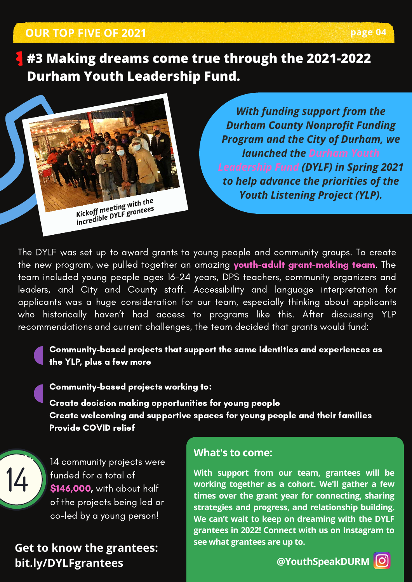## **OUR TOP FIVE OF 2021 page 04**

**#3 Making dreams come true through the 2021-2022 Durham Youth Leadership Fund.**



*With funding support from the Durham County Nonprofit Funding Program and the City of Durham, we launched the Durham Youth Leadership Fund (DYLF) in Spring 2021 to help advance the priorities of the Youth Listening Project (YLP).*

The DYLF was set up to award grants to young people and community groups. To create the new program, we pulled together an amazing youth-adult grant-making team. The team included young people ages 16-24 years, DPS teachers, community organizers and leaders, and City and County staff. Accessibility and language interpretation for applicants was a huge consideration for our team, especially thinking about applicants who historically haven't had access to programs like this. After discussing YLP recommendations and current challenges, the team decided that grants would fund:

### Community-based projects that support the same identities and experiences as the YLP, plus a few more

Community-based projects working to:

Create decision making opportunities for young people Create welcoming and supportive spaces for young people and their families Provide COVID relief



14 community projects were funded for a total of \$146,000, with about half of the projects being led or co-led by a young person!

**[Get to know the grantees:](https://durhamnc.gov/4499/2021-2022-Durham-Youth-Leadership-Fund) bit.ly/DYLFgrantees**

### **[What's to come:](https://www.instagram.com/youthspeakdurm/)**

**[With support from our team, grantees will be](https://www.instagram.com/youthspeakdurm/) working together as a cohort. We'll gather a few times over the grant year for connecting, sharing strategies and progress, and relationship building. We can't wait to keep on dreaming with the DYLF grantees in 2022! Connect with us on Instagram to see what grantees are up to[.](https://www.instagram.com/youthspeakdurm/)**

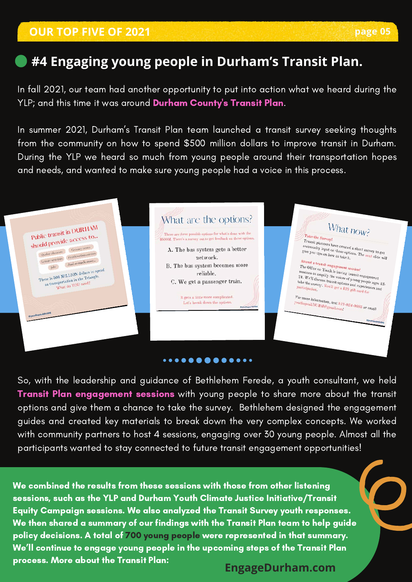## **#4 Engaging young people in Durham's Transit Plan.**

In fall 2021, our team had another opportunity to put into action what we heard during the YLP; and this time it was around Durham County's Transit Plan.

In summer 2021, Durham's Transit Plan team launched a transit survey seeking thoughts from the community on how to spend \$500 million dollars to improve transit in Durham. During the YLP we heard so much from young people around their transportation hopes and needs, and wanted to make sure young people had a voice in this process.

#### What are the options? What now? Public transit in DURHAM Public transit in Durents<br>should provide access to... e are three possible options for what's done with the Take the Survey! \$500M. There's a survey out to get feedback on these opt Transit planners have created a short survey to get<br>community input on these options. The next survey to get<br>give you tips on how to take options. The next sixt Quality education Grocery stores *x* ransit planners have created a short survey to get<br>give you tips on how to take options. The next slide will<br>Attend ... A. The bus system gets a better community input on these options are created<br>give you tips on how to take it. Quality education Grocery stores<br>Leisure activities Health/wellness services network. sure activities<br>Jobs And so much more... Attend a transit engagement session!<br>The Office on Youth is having tession!<br>Sessions to a Attend a transit engagement session!<br>The Office on Youth is having transit engagement<br>sessions to amplify the voices of young pagement<br>24. We'll discuss transit ontionalities of young people ages B. The bus system becomes more Jobs 500 MILLION dollars to spend <sup>2</sup> ne Office on Youth is having transit engagement<br>
<sup>29</sup> New to amplify the voices of young people negative<br>
<sup>24</sup>. We'll discuss transit options and experiences<br>
<sup>24</sup> Ne<sup>1</sup>ll discuss transit options and experiences<br>
<sup>24</sup> here is 500 MILLION dollars to spe<br>on transportation in the Triangle.<br>What do YOU need? reliable. sessions to amplify the voices of young transit engagement<br>24. We'll discuss transit options and experiences 1<br>take the survey. You'll get a \$25 gift card for<br>participation. Let. We'll discuss transit options and experienced the survey. You'll get a \$25 gift card for C. We get a passenger train. *participation* For more information, text  $919-924-9685$  or email<br>youthspeakDURM@gmail.com! It gets a little more complicated. For more information, text 918<br>youthspeakDURM@gmail.comf Let's break down the options. ...**.........**.

So, with the leadership and guidance of Bethlehem Ferede, a youth consultant, we held Transit Plan engagement sessions with young people to share more about the transit options and give them a chance to take the survey. Bethlehem designed the engagement guides and created key materials to break down the very complex concepts. We worked with community partners to host 4 sessions, engaging over 30 young people. Almost all the participants wanted to stay connected to future transit engagement opportunities!

We combined the results from these sessions with those from other listening sessions, such as the YLP and Durham Youth Climate Justice Initiative/Transit Equity Campaign sessions. We also analyzed the Transit Survey youth responses. We then shared a summary of our findings with the Transit Plan team to help guide policy decisions. A total of 700 young people were represented in that summary. We'll continue to engage young people in the upcoming steps of the Transit Plan process. More about the Transit Plan: **[EngageDurham.com](https://engagedurham.com/)**